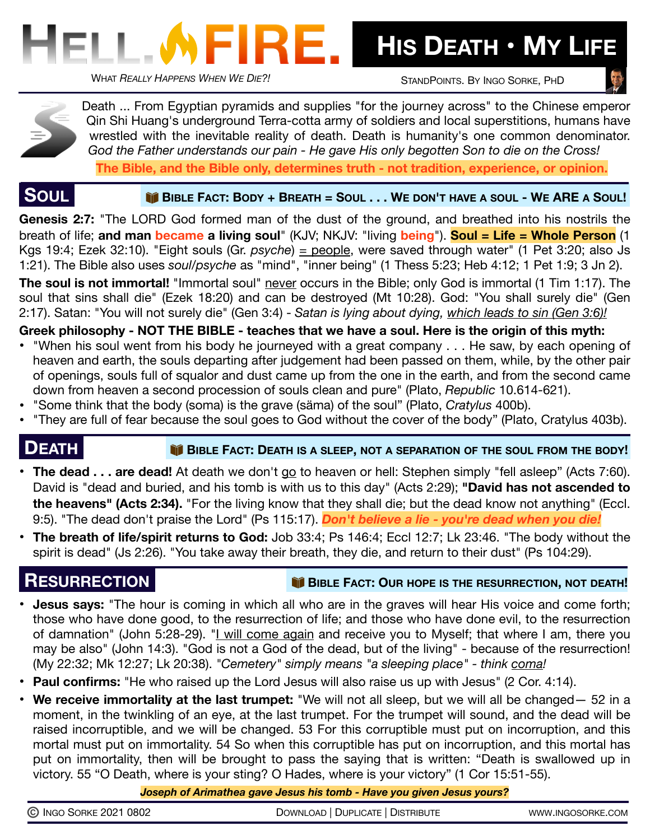

 **HIS DEATH • MY LIFE**

STANDPOINTS. BY INGO SORKE, PHD

Death ... From Egyptian pyramids and supplies "for the journey across" to the Chinese emperor Qin Shi Huang's underground Terra-cotta army of soldiers and local superstitions, humans have wrestled with the inevitable reality of death. Death is humanity's one common denominator. *God the Father understands our pain - He gave His only begotten Son to die on the Cross!* **The Bible, and the Bible only, determines truth - not tradition, experience, or opinion.**

 **SOUL BIBLE FACT: BODY + BREATH = SOUL . . . WE DON'T HAVE <sup>A</sup> SOUL - WE ARE A SOUL!** 

**Genesis 2:7:** "The LORD God formed man of the dust of the ground, and breathed into his nostrils the breath of life; **and man became a living soul**" (KJV; NKJV: "living **being**"). **Soul = Life = Whole Person** (1 Kgs 19:4; Ezek 32:10). "Eight souls (Gr. *psyche*) = people, were saved through water" (1 Pet 3:20; also Js 1:21). The Bible also uses *soul/psyche* as "mind", "inner being" (1 Thess 5:23; Heb 4:12; 1 Pet 1:9; 3 Jn 2).

**The soul is not immortal!** "Immortal soul" never occurs in the Bible; only God is immortal (1 Tim 1:17). The soul that sins shall die" (Ezek 18:20) and can be destroyed (Mt 10:28). God: "You shall surely die" (Gen 2:17). Satan: "You will not surely die" (Gen 3:4) - *Satan is lying about dying, which leads to sin (Gen 3:6)!*

**Greek philosophy - NOT THE BIBLE - teaches that we have a soul. Here is the origin of this myth:** 

- **•** "When his soul went from his body he journeyed with a great company . . . He saw, by each opening of heaven and earth, the souls departing after judgement had been passed on them, while, by the other pair of openings, souls full of squalor and dust came up from the one in the earth, and from the second came down from heaven a second procession of souls clean and pure" (Plato, *Republic* 10.614-621).
- "Some think that the body (soma) is the grave (säma) of the soul" (Plato, *Cratylus* 400b).
- "They are full of fear because the soul goes to God without the cover of the body" (Plato, Cratylus 403b).

# **DEATH BIBLE FACT: DEATH IS A SLEEP, NOT A SEPARATION OF THE SOUL FROM THE BODY!**

- The dead . . . are dead! At death we don't [go](http://www.apple.com) to heaven or hell: Stephen simply "fell asleep" (Acts 7:60). David is "dead and buried, and his tomb is with us to this day" (Acts 2:29); **"David has not ascended to the heavens" (Acts 2:34).** "For the living know that they shall die; but the dead know not anything" (Eccl. 9:5). "The dead don't praise the Lord" (Ps 115:17). *Don't believe a lie - you're dead when you die!*
- **The breath of life/spirit returns to God:** Job 33:4; Ps 146:4; Eccl 12:7; Lk 23:46. "The body without the spirit is dead" (Js 2:26). "You take away their breath, they die, and return to their dust" (Ps 104:29).

## **RESURRECTION IDEATH! BIBLE FACT: OUR HOPE IS THE RESURRECTION, NOT DEATH!**

- **• Jesus says:** "The hour is coming in which all who are in the graves will hear His voice and come forth; those who have done good, to the resurrection of life; and those who have done evil, to the resurrection of damnation" (John 5:28-29). "I will come again and receive you to Myself; that where I am, there you may be also" (John 14:3). "God is not a God of the dead, but of the living" - because of the resurrection! (My 22:32; Mk 12:27; Lk 20:38). *"Cemetery" simply means "a sleeping place" - think coma!*
- **• Paul confirms:** "He who raised up the Lord Jesus will also raise us up with Jesus" (2 Cor. 4:14).
- **We receive immortality at the last trumpet:** "We will not all sleep, but we will all be changed— 52 in a moment, in the twinkling of an eye, at the last trumpet. For the trumpet will sound, and the dead will be raised incorruptible, and we will be changed. 53 For this corruptible must put on incorruption, and this mortal must put on immortality. 54 So when this corruptible has put on incorruption, and this mortal has put on immortality, then will be brought to pass the saying that is written: "Death is swallowed up in victory. 55 "O Death, where is your sting? O Hades, where is your victory" (1 Cor 15:51-55).

*Joseph of Arimathea gave Jesus his tomb - Have you given Jesus yours?*

| C INGO SORKE 2021 0802 |  |
|------------------------|--|
|------------------------|--|